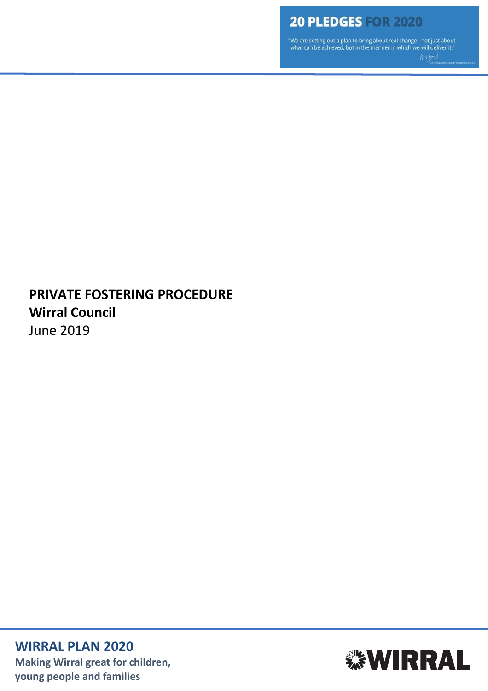" We are setting out a plan to bring about real change - not just about what can be achieved, but in the manner in which we will deliver it."

# **PRIVATE FOSTERING PROCEDURE Wirral Council** June 2019

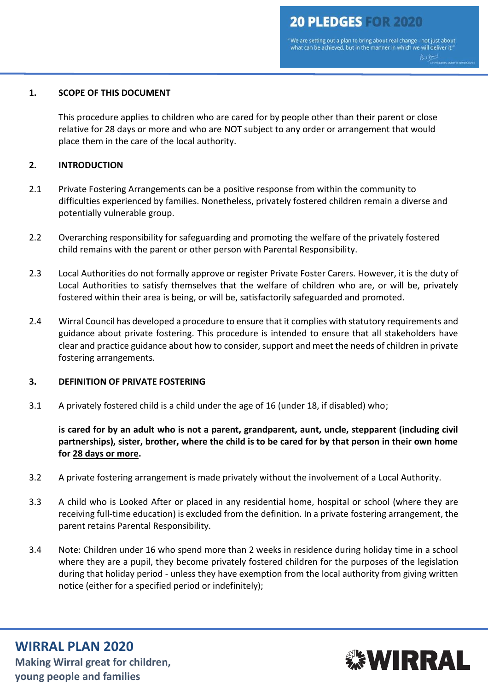"We are setting out a plan to bring about real change - not just about what can be achieved, but in the manner in which we will deliver it."

#### **1. SCOPE OF THIS DOCUMENT**

This procedure applies to children who are cared for by people other than their parent or close relative for 28 days or more and who are NOT subject to any order or arrangement that would place them in the care of the local authority.

#### **2. INTRODUCTION**

- 2.1 Private Fostering Arrangements can be a positive response from within the community to difficulties experienced by families. Nonetheless, privately fostered children remain a diverse and potentially vulnerable group.
- 2.2 Overarching responsibility for safeguarding and promoting the welfare of the privately fostered child remains with the parent or other person with Parental Responsibility.
- 2.3 Local Authorities do not formally approve or register Private Foster Carers. However, it is the duty of Local Authorities to satisfy themselves that the welfare of children who are, or will be, privately fostered within their area is being, or will be, satisfactorily safeguarded and promoted.
- 2.4 Wirral Council has developed a procedure to ensure that it complies with statutory requirements and guidance about private fostering. This procedure is intended to ensure that all stakeholders have clear and practice guidance about how to consider, support and meet the needs of children in private fostering arrangements.

#### **3. DEFINITION OF PRIVATE FOSTERING**

3.1 A privately fostered child is a child under the age of 16 (under 18, if disabled) who;

**is cared for by an adult who is not a parent, grandparent, aunt, uncle, stepparent (including civil partnerships), sister, brother, where the child is to be cared for by that person in their own home for 28 days or more.**

- 3.2 A private fostering arrangement is made privately without the involvement of a Local Authority.
- 3.3 A child who is Looked After or placed in any residential home, hospital or school (where they are receiving full-time education) is excluded from the definition. In a private fostering arrangement, the parent retains Parental Responsibility.
- 3.4 Note: Children under 16 who spend more than 2 weeks in residence during holiday time in a school where they are a pupil, they become privately fostered children for the purposes of the legislation during that holiday period - unless they have exemption from the local authority from giving written notice (either for a specified period or indefinitely);

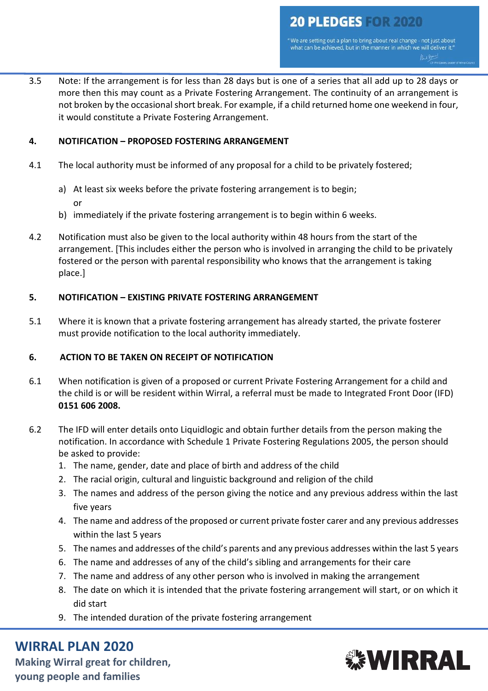"We are setting out a plan to bring about real change - not just about<br>what can be achieved, but in the manner in which we will deliver it."

3.5 Note: If the arrangement is for less than 28 days but is one of a series that all add up to 28 days or more then this may count as a Private Fostering Arrangement. The continuity of an arrangement is not broken by the occasional short break. For example, if a child returned home one weekend in four, it would constitute a Private Fostering Arrangement.

## **4. NOTIFICATION – PROPOSED FOSTERING ARRANGEMENT**

- 4.1 The local authority must be informed of any proposal for a child to be privately fostered;
	- a) At least six weeks before the private fostering arrangement is to begin; or
	- b) immediately if the private fostering arrangement is to begin within 6 weeks.
- 4.2 Notification must also be given to the local authority within 48 hours from the start of the arrangement. [This includes either the person who is involved in arranging the child to be privately fostered or the person with parental responsibility who knows that the arrangement is taking place.]

## **5. NOTIFICATION – EXISTING PRIVATE FOSTERING ARRANGEMENT**

5.1 Where it is known that a private fostering arrangement has already started, the private fosterer must provide notification to the local authority immediately.

### **6. ACTION TO BE TAKEN ON RECEIPT OF NOTIFICATION**

- 6.1 When notification is given of a proposed or current Private Fostering Arrangement for a child and the child is or will be resident within Wirral, a referral must be made to Integrated Front Door (IFD) **0151 606 2008.**
- 6.2 The IFD will enter details onto Liquidlogic and obtain further details from the person making the notification. In accordance with Schedule 1 Private Fostering Regulations 2005, the person should be asked to provide:
	- 1. The name, gender, date and place of birth and address of the child
	- 2. The racial origin, cultural and linguistic background and religion of the child
	- 3. The names and address of the person giving the notice and any previous address within the last five years
	- 4. The name and address of the proposed or current private foster carer and any previous addresses within the last 5 years
	- 5. The names and addresses of the child's parents and any previous addresses within the last 5 years
	- 6. The name and addresses of any of the child's sibling and arrangements for their care
	- 7. The name and address of any other person who is involved in making the arrangement
	- 8. The date on which it is intended that the private fostering arrangement will start, or on which it did start
	- 9. The intended duration of the private fostering arrangement

# **WIRRAL PLAN 2020**

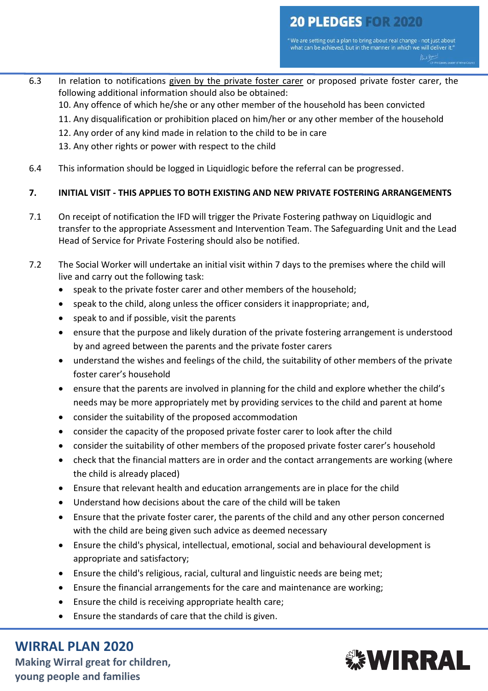"We are setting out a plan to bring about real change - not just about<br>what can be achieved, but in the manner in which we will deliver it." Rue Boy

6.3 In relation to notifications given by the private foster carer or proposed private foster carer, the following additional information should also be obtained:

10. Any offence of which he/she or any other member of the household has been convicted

- 11. Any disqualification or prohibition placed on him/her or any other member of the household
- 12. Any order of any kind made in relation to the child to be in care
- 13. Any other rights or power with respect to the child
- 6.4 This information should be logged in Liquidlogic before the referral can be progressed.

## **7. INITIAL VISIT - THIS APPLIES TO BOTH EXISTING AND NEW PRIVATE FOSTERING ARRANGEMENTS**

- 7.1 On receipt of notification the IFD will trigger the Private Fostering pathway on Liquidlogic and transfer to the appropriate Assessment and Intervention Team. The Safeguarding Unit and the Lead Head of Service for Private Fostering should also be notified.
- 7.2 The Social Worker will undertake an initial visit within 7 days to the premises where the child will live and carry out the following task:
	- speak to the private foster carer and other members of the household;
	- speak to the child, along unless the officer considers it inappropriate; and,
	- speak to and if possible, visit the parents
	- ensure that the purpose and likely duration of the private fostering arrangement is understood by and agreed between the parents and the private foster carers
	- understand the wishes and feelings of the child, the suitability of other members of the private foster carer's household
	- ensure that the parents are involved in planning for the child and explore whether the child's needs may be more appropriately met by providing services to the child and parent at home
	- consider the suitability of the proposed accommodation
	- consider the capacity of the proposed private foster carer to look after the child
	- consider the suitability of other members of the proposed private foster carer's household
	- check that the financial matters are in order and the contact arrangements are working (where the child is already placed)
	- Ensure that relevant health and education arrangements are in place for the child
	- Understand how decisions about the care of the child will be taken
	- Ensure that the private foster carer, the parents of the child and any other person concerned with the child are being given such advice as deemed necessary
	- Ensure the child's physical, intellectual, emotional, social and behavioural development is appropriate and satisfactory;
	- Ensure the child's religious, racial, cultural and linguistic needs are being met;
	- Ensure the financial arrangements for the care and maintenance are working;
	- Ensure the child is receiving appropriate health care;
	- Ensure the standards of care that the child is given.

# **WIRRAL PLAN 2020**

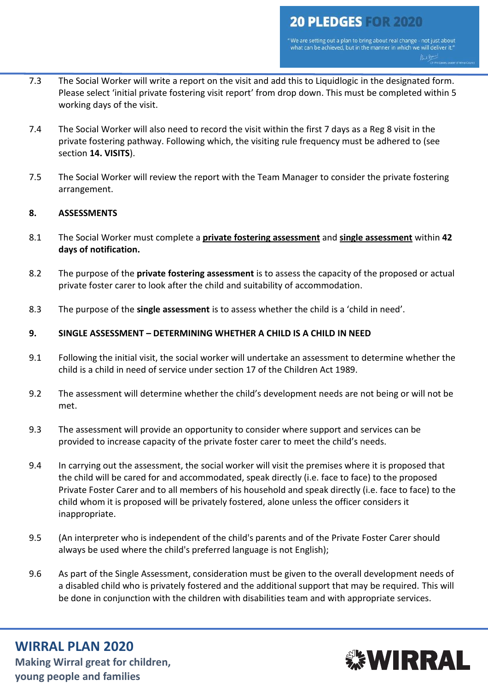" We are setting out a plan to bring about real change - not just about<br>what can be achieved, but in the manner in which we will deliver it." Rue Bon

- 7.3 The Social Worker will write a report on the visit and add this to Liquidlogic in the designated form. Please select 'initial private fostering visit report' from drop down. This must be completed within 5 working days of the visit.
- 7.4 The Social Worker will also need to record the visit within the first 7 days as a Reg 8 visit in the private fostering pathway. Following which, the visiting rule frequency must be adhered to (see section **14. VISITS**).
- 7.5 The Social Worker will review the report with the Team Manager to consider the private fostering arrangement.

### **8. ASSESSMENTS**

- 8.1 The Social Worker must complete a **private fostering assessment** and **single assessment** within **42 days of notification.**
- 8.2 The purpose of the **private fostering assessment** is to assess the capacity of the proposed or actual private foster carer to look after the child and suitability of accommodation.
- 8.3 The purpose of the **single assessment** is to assess whether the child is a 'child in need'.

## **9. SINGLE ASSESSMENT – DETERMINING WHETHER A CHILD IS A CHILD IN NEED**

- 9.1 Following the initial visit, the social worker will undertake an assessment to determine whether the child is a child in need of service under section 17 of the Children Act 1989.
- 9.2 The assessment will determine whether the child's development needs are not being or will not be met.
- 9.3 The assessment will provide an opportunity to consider where support and services can be provided to increase capacity of the private foster carer to meet the child's needs.
- 9.4 In carrying out the assessment, the social worker will visit the premises where it is proposed that the child will be cared for and accommodated, speak directly (i.e. face to face) to the proposed Private Foster Carer and to all members of his household and speak directly (i.e. face to face) to the child whom it is proposed will be privately fostered, alone unless the officer considers it inappropriate.
- 9.5 (An interpreter who is independent of the child's parents and of the Private Foster Carer should always be used where the child's preferred language is not English);
- 9.6 As part of the Single Assessment, consideration must be given to the overall development needs of a disabled child who is privately fostered and the additional support that may be required. This will be done in conjunction with the children with disabilities team and with appropriate services.

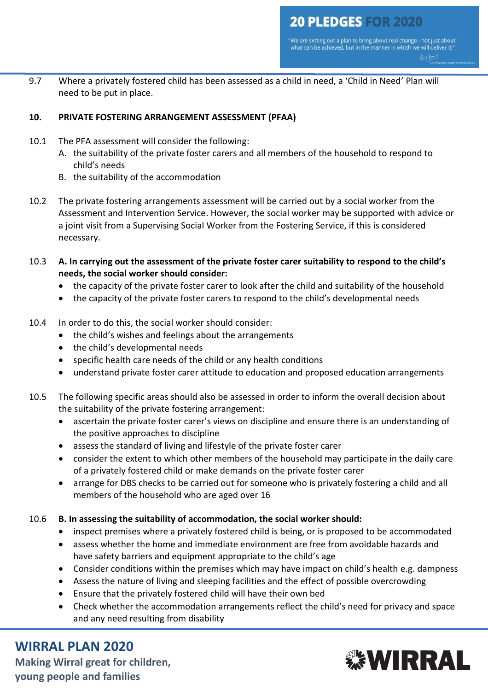9.7 Where a privately fostered child has been assessed as a child in need, a 'Child in Need' Plan will need to be put in place.

## **10. PRIVATE FOSTERING ARRANGEMENT ASSESSMENT (PFAA)**

- 10.1 The PFA assessment will consider the following:
	- A. the suitability of the private foster carers and all members of the household to respond to child's needs
	- B. the suitability of the accommodation
- 10.2 The private fostering arrangements assessment will be carried out by a social worker from the Assessment and Intervention Service. However, the social worker may be supported with advice or a joint visit from a Supervising Social Worker from the Fostering Service, if this is considered necessary.
- 10.3 **A. In carrying out the assessment of the private foster carer suitability to respond to the child's needs, the social worker should consider:**
	- the capacity of the private foster carer to look after the child and suitability of the household
	- the capacity of the private foster carers to respond to the child's developmental needs
- 10.4 In order to do this, the social worker should consider:
	- the child's wishes and feelings about the arrangements
	- the child's developmental needs
	- specific health care needs of the child or any health conditions
	- understand private foster carer attitude to education and proposed education arrangements
- 10.5 The following specific areas should also be assessed in order to inform the overall decision about the suitability of the private fostering arrangement:
	- ascertain the private foster carer's views on discipline and ensure there is an understanding of the positive approaches to discipline
	- assess the standard of living and lifestyle of the private foster carer
	- consider the extent to which other members of the household may participate in the daily care of a privately fostered child or make demands on the private foster carer
	- arrange for DBS checks to be carried out for someone who is privately fostering a child and all members of the household who are aged over 16

### 10.6 **B. In assessing the suitability of accommodation, the social worker should:**

- inspect premises where a privately fostered child is being, or is proposed to be accommodated
- assess whether the home and immediate environment are free from avoidable hazards and have safety barriers and equipment appropriate to the child's age
- Consider conditions within the premises which may have impact on child's health e.g. dampness
- Assess the nature of living and sleeping facilities and the effect of possible overcrowding
- Ensure that the privately fostered child will have their own bed
- Check whether the accommodation arrangements reflect the child's need for privacy and space and any need resulting from disability

# **WIRRAL PLAN 2020**

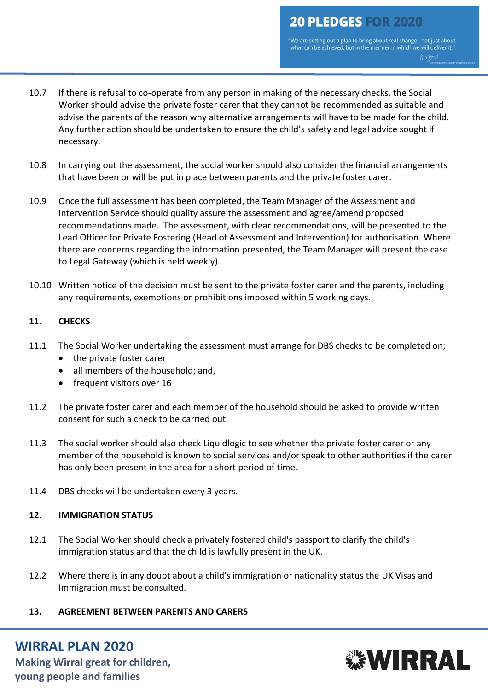" We are setting out a plan to bring about real change - not just about<br>what can be achieved, but in the manner in which we will deliver it."

- 10.7 If there is refusal to co-operate from any person in making of the necessary checks, the Social Worker should advise the private foster carer that they cannot be recommended as suitable and advise the parents of the reason why alternative arrangements will have to be made for the child. Any further action should be undertaken to ensure the child's safety and legal advice sought if necessary.
- 10.8 In carrying out the assessment, the social worker should also consider the financial arrangements that have been or will be put in place between parents and the private foster carer.
- 10.9 Once the full assessment has been completed, the Team Manager of the Assessment and Intervention Service should quality assure the assessment and agree/amend proposed recommendations made. The assessment, with clear recommendations, will be presented to the Lead Officer for Private Fostering (Head of Assessment and Intervention) for authorisation. Where there are concerns regarding the information presented, the Team Manager will present the case to Legal Gateway (which is held weekly).
- 10.10 Written notice of the decision must be sent to the private foster carer and the parents, including any requirements, exemptions or prohibitions imposed within 5 working days.

## **11. CHECKS**

- 11.1 The Social Worker undertaking the assessment must arrange for DBS checks to be completed on;
	- the private foster carer
	- all members of the household; and,
	- frequent visitors over 16
- 11.2 The private foster carer and each member of the household should be asked to provide written consent for such a check to be carried out.
- 11.3 The social worker should also check Liquidlogic to see whether the private foster carer or any member of the household is known to social services and/or speak to other authorities if the carer has only been present in the area for a short period of time.
- 11.4 DBS checks will be undertaken every 3 years.

### **12. IMMIGRATION STATUS**

- 12.1 The Social Worker should check a privately fostered child's passport to clarify the child's immigration status and that the child is lawfully present in the UK.
- 12.2 Where there is in any doubt about a child's immigration or nationality status the [UK Visas and](https://www.gov.uk/government/organisations/uk-visas-and-immigration)  [Immigration](https://www.gov.uk/government/organisations/uk-visas-and-immigration) must be consulted.
- **13. AGREEMENT BETWEEN PARENTS AND CARERS**

# **WIRRAL PLAN 2020**

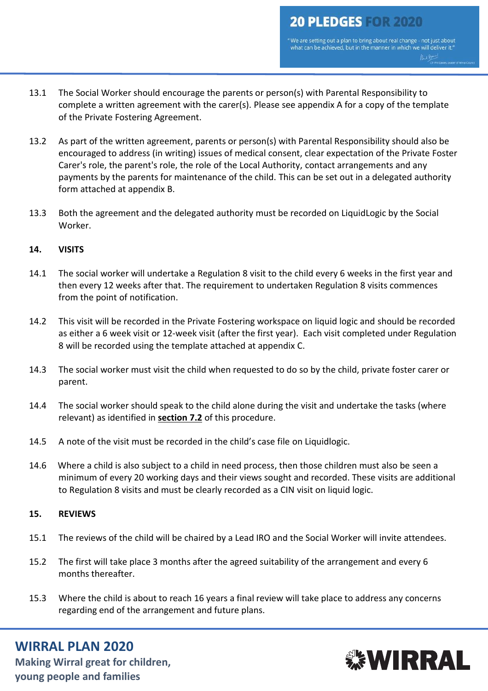" We are setting out a plan to bring about real change - not just about<br>what can be achieved, but in the manner in which we will deliver it."

- 13.1 The Social Worker should encourage the parents or person(s) with Parental Responsibility to complete a written agreement with the carer(s). Please see appendix A for a copy of the template of the Private Fostering Agreement.
- 13.2 As part of the written agreement, parents or person(s) with Parental Responsibility should also be encouraged to address (in writing) issues of medical consent, clear expectation of the Private Foster Carer's role, the parent's role, the role of the Local Authority, contact arrangements and any payments by the parents for maintenance of the child. This can be set out in a delegated authority form attached at appendix B.
- 13.3 Both the agreement and the delegated authority must be recorded on LiquidLogic by the Social Worker.

### **14. VISITS**

- 14.1 The social worker will undertake a Regulation 8 visit to the child every 6 weeks in the first year and then every 12 weeks after that. The requirement to undertaken Regulation 8 visits commences from the point of notification.
- 14.2 This visit will be recorded in the Private Fostering workspace on liquid logic and should be recorded as either a 6 week visit or 12-week visit (after the first year). Each visit completed under Regulation 8 will be recorded using the template attached at appendix C.
- 14.3 The social worker must visit the child when requested to do so by the child, private foster carer or parent.
- 14.4 The social worker should speak to the child alone during the visit and undertake the tasks (where relevant) as identified in **section 7.2** of this procedure.
- 14.5 A note of the visit must be recorded in the child's case file on Liquidlogic.
- 14.6 Where a child is also subject to a child in need process, then those children must also be seen a minimum of every 20 working days and their views sought and recorded. These visits are additional to Regulation 8 visits and must be clearly recorded as a CIN visit on liquid logic.

### **15. REVIEWS**

- 15.1 The reviews of the child will be chaired by a Lead IRO and the Social Worker will invite attendees.
- 15.2 The first will take place 3 months after the agreed suitability of the arrangement and every 6 months thereafter.
- 15.3 Where the child is about to reach 16 years a final review will take place to address any concerns regarding end of the arrangement and future plans.

# **WIRRAL PLAN 2020**

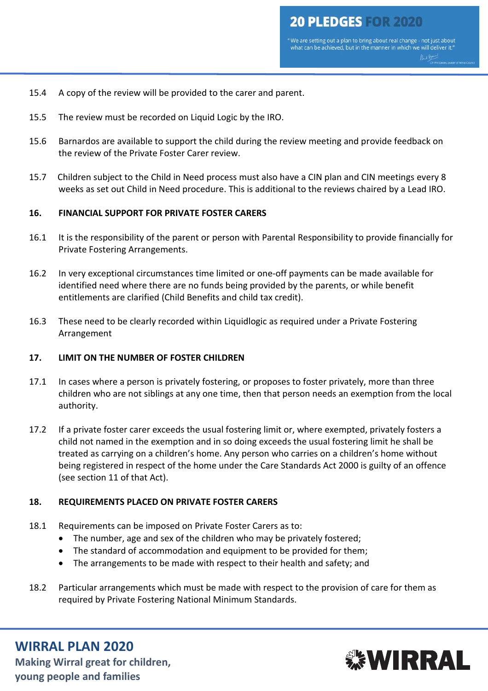- 15.4 A copy of the review will be provided to the carer and parent.
- 15.5 The review must be recorded on Liquid Logic by the IRO.
- 15.6 Barnardos are available to support the child during the review meeting and provide feedback on the review of the Private Foster Carer review.
- 15.7 Children subject to the Child in Need process must also have a CIN plan and CIN meetings every 8 weeks as set out Child in Need procedure. This is additional to the reviews chaired by a Lead IRO.

### **16. FINANCIAL SUPPORT FOR PRIVATE FOSTER CARERS**

- 16.1 It is the responsibility of the parent or person with Parental Responsibility to provide financially for Private Fostering Arrangements.
- 16.2 In very exceptional circumstances time limited or one-off payments can be made available for identified need where there are no funds being provided by the parents, or while benefit entitlements are clarified (Child Benefits and child tax credit).
- 16.3 These need to be clearly recorded within Liquidlogic as required under a Private Fostering Arrangement

### **17. LIMIT ON THE NUMBER OF FOSTER CHILDREN**

- 17.1 In cases where a person is privately fostering, or proposes to foster privately, more than three children who are not siblings at any one time, then that person needs an exemption from the local authority.
- 17.2 If a private foster carer exceeds the usual fostering limit or, where exempted, privately fosters a child not named in the exemption and in so doing exceeds the usual fostering limit he shall be treated as carrying on a children's home. Any person who carries on a children's home without being registered in respect of the home under the Care Standards Act 2000 is guilty of an offence (see section 11 of that Act).

### **18. REQUIREMENTS PLACED ON PRIVATE FOSTER CARERS**

- 18.1 Requirements can be imposed on Private Foster Carers as to:
	- The number, age and sex of the children who may be privately fostered;
	- The standard of accommodation and equipment to be provided for them;
	- The arrangements to be made with respect to their health and safety; and
- 18.2 Particular arrangements which must be made with respect to the provision of care for them as required by Private Fostering National Minimum Standards.

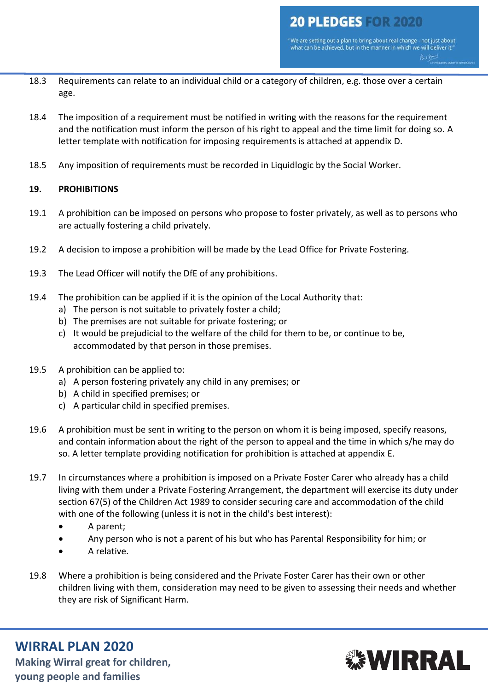- 18.3 Requirements can relate to an individual child or a category of children, e.g. those over a certain age.
- 18.4 The imposition of a requirement must be notified in writing with the reasons for the requirement and the notification must inform the person of his right to appeal and the time limit for doing so. A letter template with notification for imposing requirements is attached at appendix D.
- 18.5 Any imposition of requirements must be recorded in Liquidlogic by the Social Worker.

## **19. PROHIBITIONS**

- 19.1 A prohibition can be imposed on persons who propose to foster privately, as well as to persons who are actually fostering a child privately.
- 19.2 A decision to impose a prohibition will be made by the Lead Office for Private Fostering.
- 19.3 The Lead Officer will notify the DfE of any prohibitions.
- 19.4 The prohibition can be applied if it is the opinion of the Local Authority that:
	- a) The person is not suitable to privately foster a child;
	- b) The premises are not suitable for private fostering; or
	- c) It would be prejudicial to the welfare of the child for them to be, or continue to be, accommodated by that person in those premises.
- 19.5 A prohibition can be applied to:
	- a) A person fostering privately any child in any premises; or
	- b) A child in specified premises; or
	- c) A particular child in specified premises.
- 19.6 A prohibition must be sent in writing to the person on whom it is being imposed, specify reasons, and contain information about the right of the person to appeal and the time in which s/he may do so. A letter template providing notification for prohibition is attached at appendix E.
- 19.7 In circumstances where a prohibition is imposed on a Private Foster Carer who already has a child living with them under a Private Fostering Arrangement, the department will exercise its duty under section 67(5) of the Children Act 1989 to consider securing care and accommodation of the child with one of the following (unless it is not in the child's best interest):
	- A parent;
	- Any person who is not a parent of his but who has Parental Responsibility for him; or
	- A relative.
- 19.8 Where a prohibition is being considered and the Private Foster Carer has their own or other children living with them, consideration may need to be given to assessing their needs and whether they are risk of [Significant Harm.](http://trixresources.proceduresonline.com/nat_key/keywords/significant_harm.html)

# **WIRRAL PLAN 2020**

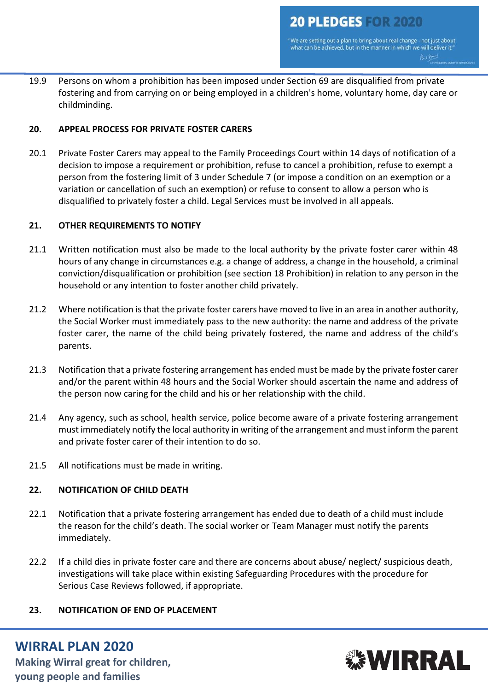"We are setting out a plan to bring about real change - not just about<br>what can be achieved, but in the manner in which we will deliver it." Rue Bon

19.9 Persons on whom a prohibition has been imposed under Section 69 are disqualified from private fostering and from carrying on or being employed in a children's home, voluntary home, day care or childminding.

### **20. APPEAL PROCESS FOR PRIVATE FOSTER CARERS**

20.1 Private Foster Carers may appeal to the Family Proceedings Court within 14 days of notification of a decision to impose a requirement or prohibition, refuse to cancel a prohibition, refuse to exempt a person from the fostering limit of 3 under Schedule 7 (or impose a condition on an exemption or a variation or cancellation of such an exemption) or refuse to consent to allow a person who is disqualified to privately foster a child. Legal Services must be involved in all appeals.

### **21. OTHER REQUIREMENTS TO NOTIFY**

- 21.1 Written notification must also be made to the local authority by the private foster carer within 48 hours of any change in circumstances e.g. a change of address, a change in the household, a criminal conviction/disqualification or prohibition (see section 18 Prohibition) in relation to any person in the household or any intention to foster another child privately.
- 21.2 Where notification is that the private foster carers have moved to live in an area in another authority, the Social Worker must immediately pass to the new authority: the name and address of the private foster carer, the name of the child being privately fostered, the name and address of the child's parents.
- 21.3 Notification that a private fostering arrangement has ended must be made by the private foster carer and/or the parent within 48 hours and the Social Worker should ascertain the name and address of the person now caring for the child and his or her relationship with the child.
- 21.4 Any agency, such as school, health service, police become aware of a private fostering arrangement must immediately notify the local authority in writing of the arrangement and must inform the parent and private foster carer of their intention to do so.
- 21.5 All notifications must be made in writing.

# **22. NOTIFICATION OF CHILD DEATH**

- 22.1 Notification that a private fostering arrangement has ended due to death of a child must include the reason for the child's death. The social worker or Team Manager must notify the parents immediately.
- 22.2 If a child dies in private foster care and there are concerns about abuse/ neglect/ suspicious death, investigations will take place within existing Safeguarding Procedures with the procedure for [Serious Case Reviews](http://trixresources.proceduresonline.com/nat_key/keywords/serious_case_review.html) followed, if appropriate.

### **23. NOTIFICATION OF END OF PLACEMENT**

# **WIRRAL PLAN 2020**

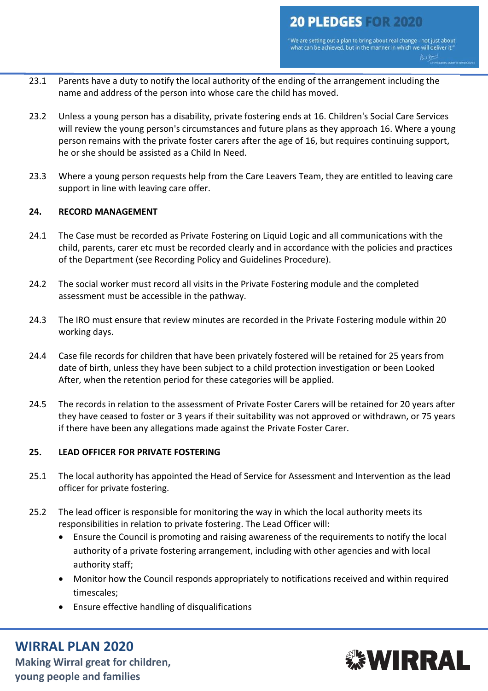- 23.1 Parents have a duty to notify the local authority of the ending of the arrangement including the name and address of the person into whose care the child has moved.
- 23.2 Unless a young person has a disability, private fostering ends at 16. Children's Social Care Services will review the young person's circumstances and future plans as they approach 16. Where a young person remains with the private foster carers after the age of 16, but requires continuing support, he or she should be assisted as a Child In Need.
- 23.3 Where a young person requests help from the Care Leavers Team, they are entitled to leaving care support in line with leaving care offer.

## **24. RECORD MANAGEMENT**

- 24.1 The Case must be recorded as Private Fostering on Liquid Logic and all communications with the child, parents, carer etc must be recorded clearly and in accordance with the policies and practices of the Department (see [Recording Policy and Guidelines Procedure\)](https://wirralchildcare.proceduresonline.com/g_recording_guide.html).
- 24.2 The social worker must record all visits in the Private Fostering module and the completed assessment must be accessible in the pathway.
- 24.3 The IRO must ensure that review minutes are recorded in the Private Fostering module within 20 working days.
- 24.4 Case file records for children that have been privately fostered will be retained for 25 years from date of birth, unless they have been subject to a child protection investigation or been Looked After, when the retention period for these categories will be applied.
- 24.5 The records in relation to the assessment of Private Foster Carers will be retained for 20 years after they have ceased to foster or 3 years if their suitability was not approved or withdrawn, or 75 years if there have been any allegations made against the Private Foster Carer.

### **25. LEAD OFFICER FOR PRIVATE FOSTERING**

- 25.1 The local authority has appointed the Head of Service for Assessment and Intervention as the lead officer for private fostering.
- 25.2 The lead officer is responsible for monitoring the way in which the local authority meets its responsibilities in relation to private fostering. The Lead Officer will:
	- Ensure the Council is promoting and raising awareness of the requirements to notify the local authority of a private fostering arrangement, including with other agencies and with local authority staff;
	- Monitor how the Council responds appropriately to notifications received and within required timescales;
	- Ensure effective handling of disqualifications

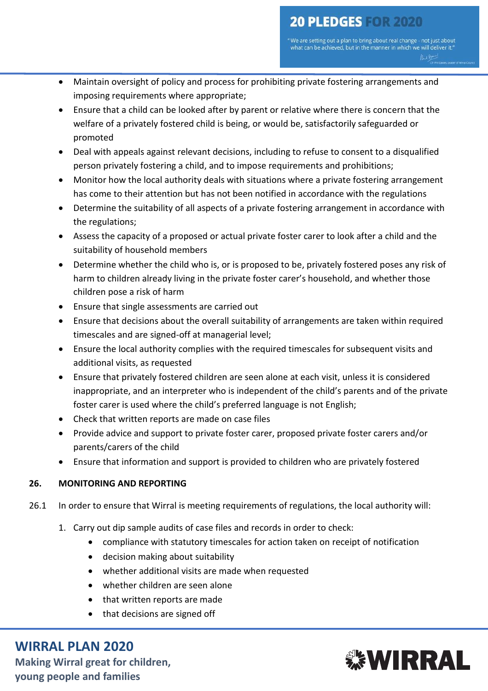- Maintain oversight of policy and process for prohibiting private fostering arrangements and imposing requirements where appropriate;
- Ensure that a child can be looked after by parent or relative where there is concern that the welfare of a privately fostered child is being, or would be, satisfactorily safeguarded or promoted
- Deal with appeals against relevant decisions, including to refuse to consent to a disqualified person privately fostering a child, and to impose requirements and prohibitions;
- Monitor how the local authority deals with situations where a private fostering arrangement has come to their attention but has not been notified in accordance with the regulations
- Determine the suitability of all aspects of a private fostering arrangement in accordance with the regulations;
- Assess the capacity of a proposed or actual private foster carer to look after a child and the suitability of household members
- Determine whether the child who is, or is proposed to be, privately fostered poses any risk of harm to children already living in the private foster carer's household, and whether those children pose a risk of harm
- Ensure that single assessments are carried out
- Ensure that decisions about the overall suitability of arrangements are taken within required timescales and are signed-off at managerial level;
- Ensure the local authority complies with the required timescales for subsequent visits and additional visits, as requested
- Ensure that privately fostered children are seen alone at each visit, unless it is considered inappropriate, and an interpreter who is independent of the child's parents and of the private foster carer is used where the child's preferred language is not English;
- Check that written reports are made on case files
- Provide advice and support to private foster carer, proposed private foster carers and/or parents/carers of the child
- Ensure that information and support is provided to children who are privately fostered

# **26. MONITORING AND REPORTING**

- 26.1 In order to ensure that Wirral is meeting requirements of regulations, the local authority will:
	- 1. Carry out dip sample audits of case files and records in order to check:
		- compliance with statutory timescales for action taken on receipt of notification
		- decision making about suitability
		- whether additional visits are made when requested
		- whether children are seen alone
		- that written reports are made
		- that decisions are signed off

# **WIRRAL PLAN 2020**